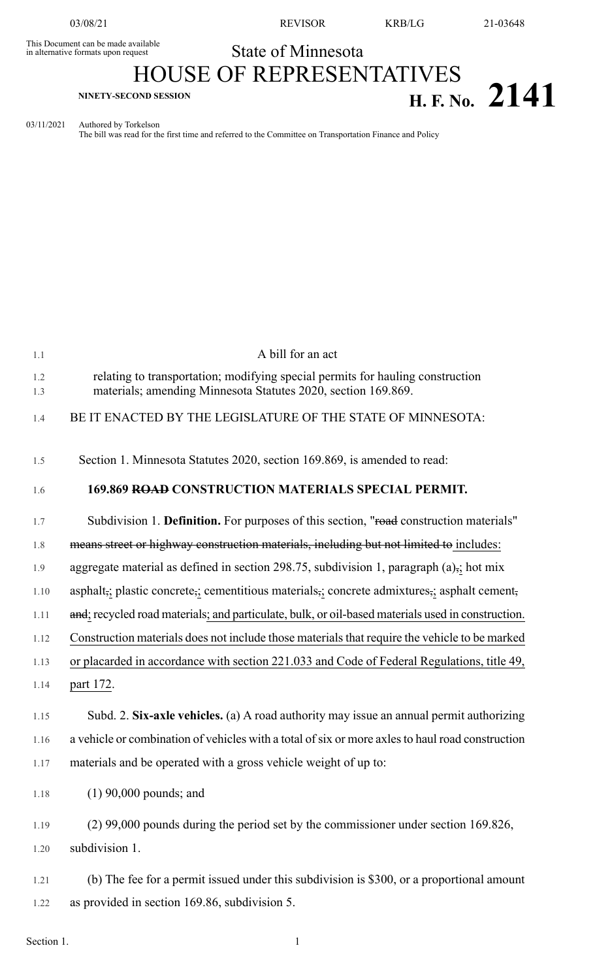This Document can be made available<br>in alternative formats upon request

03/08/21 REVISOR KRB/LG 21-03648

## State of Minnesota HOUSE OF REPRESENTATIVES

## **H. F. No.** 2141

03/11/2021 Authored by Torkelson

The bill was read for the first time and referred to the Committee on Transportation Finance and Policy

| 1.1        | A bill for an act                                                                                                                               |
|------------|-------------------------------------------------------------------------------------------------------------------------------------------------|
| 1.2<br>1.3 | relating to transportation; modifying special permits for hauling construction<br>materials; amending Minnesota Statutes 2020, section 169.869. |
| 1.4        | BE IT ENACTED BY THE LEGISLATURE OF THE STATE OF MINNESOTA:                                                                                     |
| 1.5        | Section 1. Minnesota Statutes 2020, section 169.869, is amended to read:                                                                        |
| 1.6        | 169.869 ROAD CONSTRUCTION MATERIALS SPECIAL PERMIT.                                                                                             |
| 1.7        | Subdivision 1. Definition. For purposes of this section, "road construction materials"                                                          |
| 1.8        | means street or highway construction materials, including but not limited to includes:                                                          |
| 1.9        | aggregate material as defined in section 298.75, subdivision 1, paragraph $(a)$ ,; hot mix                                                      |
| 1.10       | asphalt,; plastic concrete,; cementitious materials, concrete admixtures, asphalt cement,                                                       |
| 1.11       | and; recycled road materials; and particulate, bulk, or oil-based materials used in construction.                                               |
| 1.12       | Construction materials does not include those materials that require the vehicle to be marked                                                   |
| 1.13       | or placarded in accordance with section 221.033 and Code of Federal Regulations, title 49,                                                      |
| 1.14       | part 172.                                                                                                                                       |
| 1.15       | Subd. 2. Six-axle vehicles. (a) A road authority may issue an annual permit authorizing                                                         |
| 1.16       | a vehicle or combination of vehicles with a total of six or more axles to haul road construction                                                |
| 1.17       | materials and be operated with a gross vehicle weight of up to:                                                                                 |
| 1.18       | $(1)$ 90,000 pounds; and                                                                                                                        |
| 1.19       | $(2)$ 99,000 pounds during the period set by the commissioner under section 169.826,                                                            |
| 1.20       | subdivision 1.                                                                                                                                  |
| 1.21       | (b) The fee for a permit issued under this subdivision is \$300, or a proportional amount                                                       |
| 1.22       | as provided in section 169.86, subdivision 5.                                                                                                   |
| Section 1. |                                                                                                                                                 |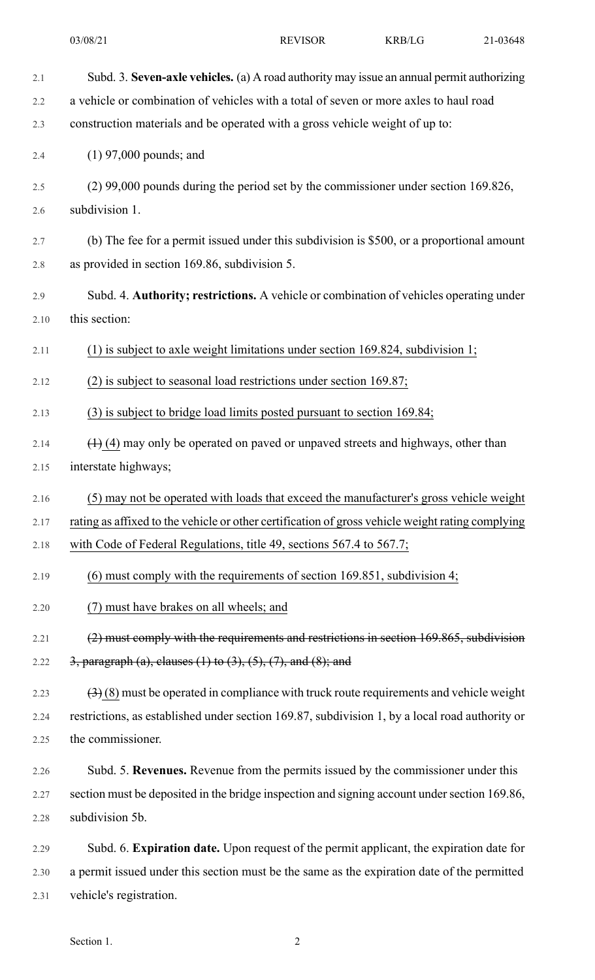2.1 Subd. 3. **Seven-axle vehicles.** (a) A road authority may issue an annual permit authorizing 2.2 a vehicle or combination of vehicles with a total of seven or more axles to haul road 2.3 construction materials and be operated with a gross vehicle weight of up to: 2.4 (1) 97,000 pounds; and 2.5 (2) 99,000 pounds during the period set by the commissioner under section 169.826, 2.6 subdivision 1. 2.7 (b) The fee for a permit issued under this subdivision is \$500, or a proportional amount 2.8 as provided in section 169.86, subdivision 5. 2.9 Subd. 4. **Authority; restrictions.** A vehicle or combination of vehicles operating under 2.10 this section: 2.11 (1) is subject to axle weight limitations under section 169.824, subdivision 1; 2.12 (2) is subject to seasonal load restrictions under section 169.87; 2.13 (3) is subject to bridge load limits posted pursuant to section 169.84; 2.14  $\left(1\right)$  (4) may only be operated on paved or unpaved streets and highways, other than 2.15 interstate highways; 2.16 (5) may not be operated with loads that exceed the manufacturer's gross vehicle weight 2.17 rating as affixed to the vehicle or other certification of gross vehicle weight rating complying 2.18 with Code of Federal Regulations, title 49, sections 567.4 to 567.7; 2.19 (6) must comply with the requirements of section 169.851, subdivision 4; 2.20 (7) must have brakes on all wheels; and 2.21 (2) must comply with the requirements and restrictions in section 169.865, subdivision 2.22  $3,$  paragraph (a), clauses (1) to (3), (5), (7), and (8); and 2.23  $(3)(8)$  must be operated in compliance with truck route requirements and vehicle weight 2.24 restrictions, as established under section 169.87, subdivision 1, by a local road authority or 2.25 the commissioner. 2.26 Subd. 5. **Revenues.** Revenue from the permits issued by the commissioner under this 2.27 section must be deposited in the bridge inspection and signing account under section 169.86, 2.28 subdivision 5b. 2.29 Subd. 6. **Expiration date.** Upon request of the permit applicant, the expiration date for 2.30 a permit issued under this section must be the same as the expiration date of the permitted 2.31 vehicle's registration.